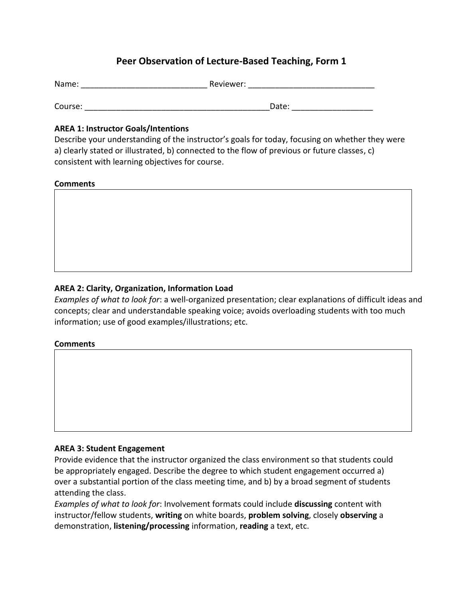# **Peer Observation of Lecture-Based Teaching, Form 1**

| Name:   | Reviewer: |
|---------|-----------|
| Course: | Date:     |

### **AREA 1: Instructor Goals/Intentions**

Describe your understanding of the instructor's goals for today, focusing on whether they were a) clearly stated or illustrated, b) connected to the flow of previous or future classes, c) consistent with learning objectives for course.

#### **Comments**



## **AREA 2: Clarity, Organization, Information Load**

*Examples of what to look for*: a well-organized presentation; clear explanations of difficult ideas and concepts; clear and understandable speaking voice; avoids overloading students with too much information; use of good examples/illustrations; etc.

#### **Comments**

## **AREA 3: Student Engagement**

Provide evidence that the instructor organized the class environment so that students could be appropriately engaged. Describe the degree to which student engagement occurred a) over a substantial portion of the class meeting time, and b) by a broad segment of students attending the class.

*Examples of what to look for*: Involvement formats could include **discussing** content with instructor/fellow students, **writing** on white boards, **problem solving**, closely **observing** a demonstration, **listening/processing** information, **reading** a text, etc.